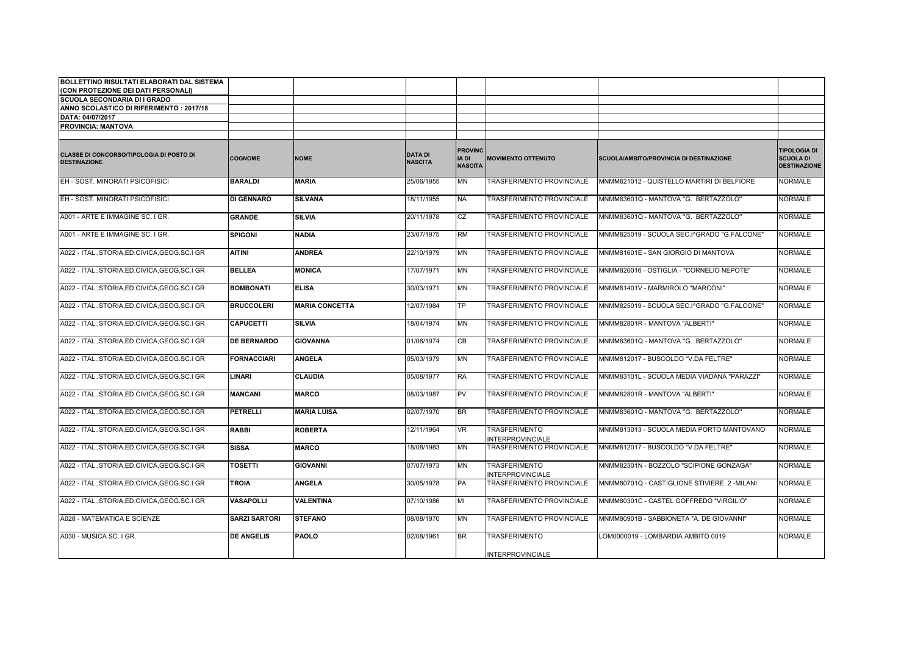| BOLLETTINO RISULTATI ELABORATI DAL SISTEMA                             |                      |                       |                                  |                                           |                                                 |                                             |                                                                |
|------------------------------------------------------------------------|----------------------|-----------------------|----------------------------------|-------------------------------------------|-------------------------------------------------|---------------------------------------------|----------------------------------------------------------------|
| (CON PROTEZIONE DEI DATI PERSONALI)                                    |                      |                       |                                  |                                           |                                                 |                                             |                                                                |
| <b>SCUOLA SECONDARIA DI I GRADO</b>                                    |                      |                       |                                  |                                           |                                                 |                                             |                                                                |
| ANNO SCOLASTICO DI RIFERIMENTO: 2017/18                                |                      |                       |                                  |                                           |                                                 |                                             |                                                                |
| DATA: 04/07/2017                                                       |                      |                       |                                  |                                           |                                                 |                                             |                                                                |
| <b>PROVINCIA: MANTOVA</b>                                              |                      |                       |                                  |                                           |                                                 |                                             |                                                                |
|                                                                        |                      |                       |                                  |                                           |                                                 |                                             |                                                                |
| <b>CLASSE DI CONCORSO/TIPOLOGIA DI POSTO DI</b><br><b>DESTINAZIONE</b> | <b>COGNOME</b>       | <b>NOME</b>           | <b>DATA DI</b><br><b>NASCITA</b> | <b>PROVINC</b><br>IA DI<br><b>NASCITA</b> | <b>MOVIMENTO OTTENUTO</b>                       | SCUOLA/AMBITO/PROVINCIA DI DESTINAZIONE     | <b>TIPOLOGIA DI</b><br><b>SCUOLA DI</b><br><b>DESTINAZIONE</b> |
| EH - SOST, MINORATI PSICOFISICI                                        | <b>BARALDI</b>       | <b>MARIA</b>          | 25/06/1955                       | <b>MN</b>                                 | TRASFERIMENTO PROVINCIALE                       | MNMM821012 - QUISTELLO MARTIRI DI BELFIORE  | <b>NORMALE</b>                                                 |
| EH - SOST. MINORATI PSICOFISICI                                        | <b>DI GENNARO</b>    | <b>SILVANA</b>        | 18/11/1955                       | <b>NA</b>                                 | TRASFERIMENTO PROVINCIALE                       | MNMM83601Q - MANTOVA "G. BERTAZZOLO"        | <b>NORMALE</b>                                                 |
| A001 - ARTE E IMMAGINE SC. I GR.                                       | <b>GRANDE</b>        | <b>SILVIA</b>         | 20/11/1978                       | CZ                                        | TRASFERIMENTO PROVINCIALE                       | MNMM83601Q - MANTOVA "G. BERTAZZOLO"        | <b>NORMALE</b>                                                 |
| A001 - ARTE E IMMAGINE SC. I GR.                                       | <b>SPIGONI</b>       | <b>NADIA</b>          | 23/07/1975                       | <b>RM</b>                                 | TRASFERIMENTO PROVINCIALE                       | MNMM825019 - SCUOLA SEC.I^GRADO "G.FALCONE" | <b>NORMALE</b>                                                 |
| A022 - ITAL.,STORIA,ED.CIVICA,GEOG.SC.I GR                             | <b>AITINI</b>        | <b>ANDREA</b>         | 22/10/1979                       | <b>MN</b>                                 | TRASFERIMENTO PROVINCIALE                       | MNMM81601E - SAN GIORGIO DI MANTOVA         | <b>NORMALE</b>                                                 |
| A022 - ITAL., STORIA, ED. CIVICA, GEOG. SC. I GR                       | <b>BELLEA</b>        | <b>MONICA</b>         | 17/07/1971                       | <b>MN</b>                                 | <b>TRASFERIMENTO PROVINCIALE</b>                | MNMM820016 - OSTIGLIA - "CORNELIO NEPOTE"   | <b>NORMALE</b>                                                 |
| A022 - ITAL., STORIA, ED. CIVICA, GEOG. SC. I GR                       | <b>BOMBONATI</b>     | <b>ELISA</b>          | 30/03/1971                       | <b>MN</b>                                 | TRASFERIMENTO PROVINCIALE                       | MNMM81401V - MARMIROLO "MARCONI"            | <b>NORMALE</b>                                                 |
| A022 - ITAL., STORIA, ED. CIVICA, GEOG. SC. I GR                       | <b>BRUCCOLERI</b>    | <b>MARIA CONCETTA</b> | 12/07/1984                       | <b>TP</b>                                 | TRASFERIMENTO PROVINCIALE                       | MNMM825019 - SCUOLA SEC.I^GRADO "G.FALCONE" | <b>NORMALE</b>                                                 |
| A022 - ITAL., STORIA, ED. CIVICA, GEOG. SC. I GR                       | <b>CAPUCETTI</b>     | <b>SILVIA</b>         | 18/04/1974                       | <b>MN</b>                                 | <b>TRASFERIMENTO PROVINCIALE</b>                | MNMM82801R - MANTOVA "ALBERTI"              | <b>NORMALE</b>                                                 |
| A022 - ITAL., STORIA, ED. CIVICA, GEOG. SC. I GR                       | <b>DE BERNARDO</b>   | <b>GIOVANNA</b>       | 01/06/1974                       | CB                                        | TRASFERIMENTO PROVINCIALE                       | MNMM83601Q - MANTOVA "G. BERTAZZOLO"        | <b>NORMALE</b>                                                 |
| A022 - ITAL., STORIA, ED. CIVICA, GEOG. SC. I GR                       | <b>FORNACCIARI</b>   | <b>ANGELA</b>         | 05/03/1979                       | <b>MN</b>                                 | TRASFERIMENTO PROVINCIALE                       | MNMM812017 - BUSCOLDO "V.DA FELTRE"         | <b>NORMALE</b>                                                 |
| A022 - ITAL., STORIA, ED. CIVICA, GEOG. SC. I GR                       | <b>LINARI</b>        | <b>CLAUDIA</b>        | 05/08/1977                       | <b>RA</b>                                 | TRASFERIMENTO PROVINCIALE                       | MNMM83101L - SCUOLA MEDIA VIADANA "PARAZZI" | <b>NORMALE</b>                                                 |
| A022 - ITAL.,STORIA,ED.CIVICA,GEOG.SC.I GR                             | <b>MANCANI</b>       | <b>MARCO</b>          | 08/03/1987                       | PV                                        | TRASFERIMENTO PROVINCIALE                       | MNMM82801R - MANTOVA "ALBERTI"              | <b>NORMALE</b>                                                 |
| A022 - ITAL.,STORIA,ED.CIVICA,GEOG.SC.I GR                             | <b>PETRELLI</b>      | <b>MARIA LUISA</b>    | 02/07/1970                       | <b>BR</b>                                 | TRASFERIMENTO PROVINCIALE                       | MNMM83601Q - MANTOVA "G. BERTAZZOLO"        | <b>NORMALE</b>                                                 |
| A022 - ITAL., STORIA, ED. CIVICA, GEOG. SC. I GR                       | <b>RABBI</b>         | <b>ROBERTA</b>        | 12/11/1964                       | <b>VR</b>                                 | <b>TRASFERIMENTO</b><br><b>INTERPROVINCIALE</b> | MNMM813013 - SCUOLA MEDIA PORTO MANTOVANO   | <b>NORMALE</b>                                                 |
| A022 - ITAL., STORIA, ED. CIVICA, GEOG. SC. I GR                       | <b>SISSA</b>         | <b>MARCO</b>          | 18/08/1983                       | <b>MN</b>                                 | TRASFERIMENTO PROVINCIALE                       | MNMM812017 - BUSCOLDO "V.DA FELTRE"         | <b>NORMALE</b>                                                 |
| A022 - ITAL., STORIA, ED. CIVICA, GEOG. SC. I GR                       | <b>TOSETTI</b>       | <b>GIOVANNI</b>       | 07/07/1973                       | <b>MN</b>                                 | <b>TRASFERIMENTO</b><br><b>INTERPROVINCIALE</b> | MNMM82301N - BOZZOLO "SCIPIONE GONZAGA"     | <b>NORMALE</b>                                                 |
| A022 - ITAL., STORIA, ED. CIVICA, GEOG. SC. I GR                       | <b>TROIA</b>         | <b>ANGELA</b>         | 30/05/1978                       | PA                                        | TRASFERIMENTO PROVINCIALE                       | MNMM80701Q - CASTIGLIONE STIVIERE 2 -MILANI | <b>NORMALE</b>                                                 |
| A022 - ITAL., STORIA, ED. CIVICA, GEOG. SC. I GR                       | <b>VASAPOLLI</b>     | <b>VALENTINA</b>      | 07/10/1986                       | MI                                        | <b>TRASFERIMENTO PROVINCIALE</b>                | MNMM80301C - CASTEL GOFFREDO "VIRGILIO"     | <b>NORMALE</b>                                                 |
| A028 - MATEMATICA E SCIENZE                                            | <b>SARZI SARTORI</b> | <b>STEFANO</b>        | 08/08/1970                       | <b>MN</b>                                 | TRASFERIMENTO PROVINCIALE                       | MNMM80901B - SABBIONETA "A. DE GIOVANNI"    | <b>NORMALE</b>                                                 |
| A030 - MUSICA SC. I GR.                                                | <b>DE ANGELIS</b>    | <b>PAOLO</b>          | 02/08/1961                       | <b>BR</b>                                 | <b>TRASFERIMENTO</b>                            | LOM0000019 - LOMBARDIA AMBITO 0019          | <b>NORMALE</b>                                                 |
|                                                                        |                      |                       |                                  |                                           | <b>INTERPROVINCIALE</b>                         |                                             |                                                                |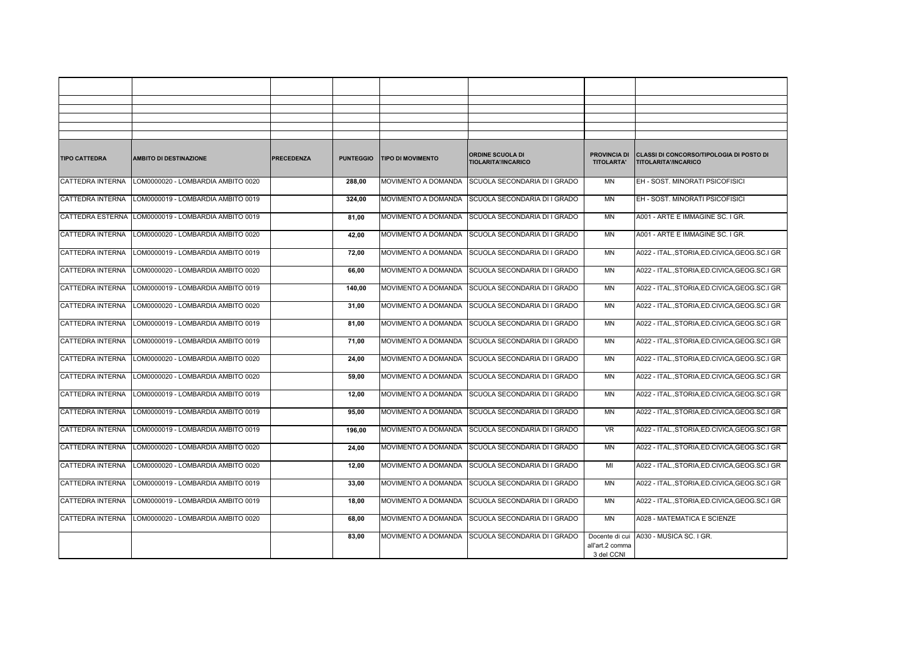| <b>TIPO CATTEDRA</b>    | <b>AMBITO DI DESTINAZIONE</b>      | <b>PRECEDENZA</b> | <b>PUNTEGGIO</b> | <b>TIPO DI MOVIMENTO</b>   | <b>ORDINE SCUOLA DI</b><br>TIOLARITA'/INCARICO   | <b>PROVINCIA DI</b><br><b>TITOLARTA'</b> | CLASSI DI CONCORSO/TIPOLOGIA DI POSTO DI<br>TITOLARITA'/INCARICO |
|-------------------------|------------------------------------|-------------------|------------------|----------------------------|--------------------------------------------------|------------------------------------------|------------------------------------------------------------------|
| <b>CATTEDRA INTERNA</b> | LOM0000020 - LOMBARDIA AMBITO 0020 |                   | 288.00           | <b>MOVIMENTO A DOMANDA</b> | <b>SCUOLA SECONDARIA DI I GRADO</b>              | MN                                       | EH - SOST. MINORATI PSICOFISICI                                  |
| CATTEDRA INTERNA        | LOM0000019 - LOMBARDIA AMBITO 0019 |                   | 324,00           |                            | MOVIMENTO A DOMANDA SCUOLA SECONDARIA DI I GRADO | MN                                       | EH - SOST. MINORATI PSICOFISICI                                  |
| CATTEDRA ESTERNA        | LOM0000019 - LOMBARDIA AMBITO 0019 |                   | 81,00            | MOVIMENTO A DOMANDA        | SCUOLA SECONDARIA DI I GRADO                     | MN                                       | A001 - ARTE E IMMAGINE SC. I GR.                                 |
| <b>CATTEDRA INTERNA</b> | LOM0000020 - LOMBARDIA AMBITO 0020 |                   | 42,00            |                            | MOVIMENTO A DOMANDA SCUOLA SECONDARIA DI I GRADO | MN                                       | A001 - ARTE E IMMAGINE SC. I GR.                                 |
| CATTEDRA INTERNA        | LOM0000019 - LOMBARDIA AMBITO 0019 |                   | 72,00            | MOVIMENTO A DOMANDA        | SCUOLA SECONDARIA DI I GRADO                     | MN                                       | A022 - ITAL., STORIA, ED.CIVICA, GEOG.SC.I GR                    |
| <b>CATTEDRA INTERNA</b> | LOM0000020 - LOMBARDIA AMBITO 0020 |                   | 66,00            |                            | MOVIMENTO A DOMANDA SCUOLA SECONDARIA DI I GRADO | MN                                       | A022 - ITAL., STORIA, ED.CIVICA, GEOG.SC.I GR                    |
| CATTEDRA INTERNA        | LOM0000019 - LOMBARDIA AMBITO 0019 |                   | 140,00           | MOVIMENTO A DOMANDA        | SCUOLA SECONDARIA DI I GRADO                     | MN                                       | A022 - ITAL., STORIA, ED.CIVICA, GEOG.SC.I GR                    |
| CATTEDRA INTERNA        | LOM0000020 - LOMBARDIA AMBITO 0020 |                   | 31,00            |                            | MOVIMENTO A DOMANDA SCUOLA SECONDARIA DI I GRADO | MN                                       | A022 - ITAL., STORIA, ED.CIVICA, GEOG.SC.I GR                    |
| <b>CATTEDRA INTERNA</b> | LOM0000019 - LOMBARDIA AMBITO 0019 |                   | 81,00            | MOVIMENTO A DOMANDA        | SCUOLA SECONDARIA DI I GRADO                     | MN                                       | A022 - ITAL., STORIA, ED.CIVICA, GEOG. SC.I GR                   |
| CATTEDRA INTERNA        | LOM0000019 - LOMBARDIA AMBITO 0019 |                   | 71,00            |                            | MOVIMENTO A DOMANDA SCUOLA SECONDARIA DI I GRADO | MN                                       | A022 - ITAL., STORIA, ED.CIVICA, GEOG.SC.I GR                    |
| CATTEDRA INTERNA        | LOM0000020 - LOMBARDIA AMBITO 0020 |                   | 24,00            | <b>MOVIMENTO A DOMANDA</b> | <b>ISCUOLA SECONDARIA DI I GRADO</b>             | MN                                       | A022 - ITAL., STORIA, ED.CIVICA, GEOG.SC.I GR                    |
| <b>CATTEDRA INTERNA</b> | LOM0000020 - LOMBARDIA AMBITO 0020 |                   | 59,00            | MOVIMENTO A DOMANDA        | SCUOLA SECONDARIA DI I GRADO                     | MN                                       | A022 - ITAL., STORIA, ED.CIVICA, GEOG.SC.I GR                    |
| CATTEDRA INTERNA        | LOM0000019 - LOMBARDIA AMBITO 0019 |                   | 12,00            |                            | MOVIMENTO A DOMANDA SCUOLA SECONDARIA DI I GRADO | MN                                       | A022 - ITAL., STORIA, ED.CIVICA, GEOG.SC.I GR                    |
| CATTEDRA INTERNA        | LOM0000019 - LOMBARDIA AMBITO 0019 |                   | 95,00            |                            | MOVIMENTO A DOMANDA SCUOLA SECONDARIA DI I GRADO | MN                                       | A022 - ITAL., STORIA, ED.CIVICA, GEOG. SC.I GR                   |
| <b>CATTEDRA INTERNA</b> | LOM0000019 - LOMBARDIA AMBITO 0019 |                   | 196,00           | <b>MOVIMENTO A DOMANDA</b> | <b>ISCUOLA SECONDARIA DI I GRADO</b>             | VR                                       | A022 - ITAL., STORIA, ED.CIVICA, GEOG. SC.I GR                   |
| CATTEDRA INTERNA        | LOM0000020 - LOMBARDIA AMBITO 0020 |                   | 24,00            |                            | MOVIMENTO A DOMANDA SCUOLA SECONDARIA DI I GRADO | MN                                       | A022 - ITAL., STORIA, ED.CIVICA, GEOG.SC.I GR                    |
| <b>CATTEDRA INTERNA</b> | LOM0000020 - LOMBARDIA AMBITO 0020 |                   | 12.00            |                            | MOVIMENTO A DOMANDA SCUOLA SECONDARIA DI I GRADO | MI                                       | A022 - ITALSTORIA.ED.CIVICA.GEOG.SC.I GR                         |
| CATTEDRA INTERNA        | LOM0000019 - LOMBARDIA AMBITO 0019 |                   | 33,00            |                            | MOVIMENTO A DOMANDA SCUOLA SECONDARIA DI I GRADO | MN                                       | A022 - ITAL., STORIA, ED.CIVICA, GEOG. SC.I GR                   |
| CATTEDRA INTERNA        | LOM0000019 - LOMBARDIA AMBITO 0019 |                   | 18,00            | MOVIMENTO A DOMANDA        | SCUOLA SECONDARIA DI I GRADO                     | MN                                       | A022 - ITAL., STORIA, ED.CIVICA, GEOG. SC.I GR                   |
| <b>CATTEDRA INTERNA</b> | LOM0000020 - LOMBARDIA AMBITO 0020 |                   | 68,00            | MOVIMENTO A DOMANDA        | SCUOLA SECONDARIA DI I GRADO                     | <b>MN</b>                                | A028 - MATEMATICA E SCIENZE                                      |
|                         |                                    |                   | 83,00            | <b>MOVIMENTO A DOMANDA</b> | SCUOLA SECONDARIA DI I GRADO                     | Docente di cui                           | A030 - MUSICA SC. I GR.                                          |
|                         |                                    |                   |                  |                            |                                                  | all'art.2 comma                          |                                                                  |
|                         |                                    |                   |                  |                            |                                                  | 3 del CCNI                               |                                                                  |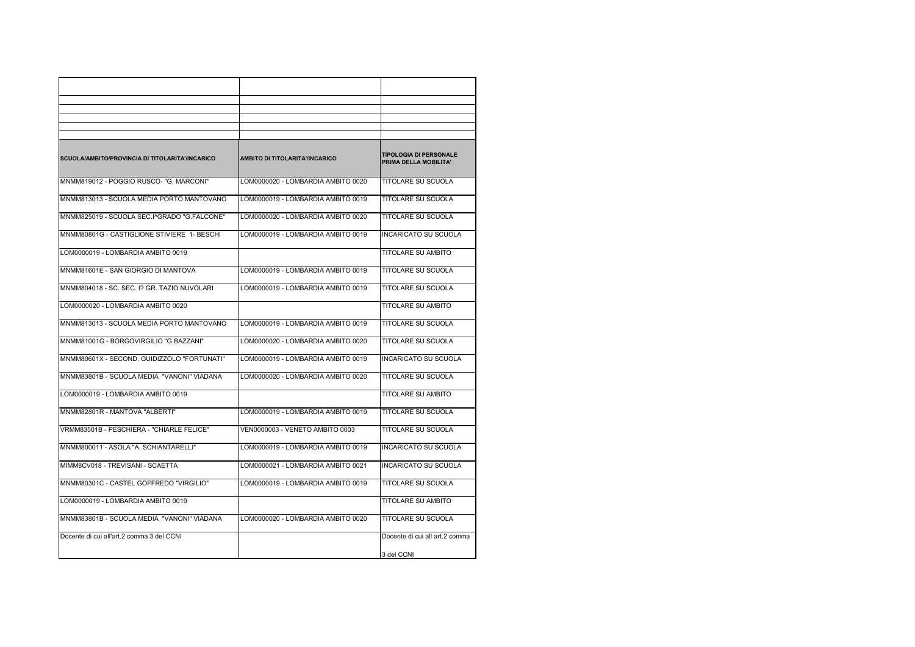| SCUOLA/AMBITO/PROVINCIA DI TITOLARITA'/INCARICO | AMBITO DI TITOLARITA'/INCARICO     | <b>TIPOLOGIA DI PERSONALE</b><br>PRIMA DELLA MOBILITA' |
|-------------------------------------------------|------------------------------------|--------------------------------------------------------|
| MNMM819012 - POGGIO RUSCO- "G. MARCONI"         | LOM0000020 - LOMBARDIA AMBITO 0020 | <b>TITOLARE SU SCUOLA</b>                              |
| MNMM813013 - SCUOLA MEDIA PORTO MANTOVANO       | LOM0000019 - LOMBARDIA AMBITO 0019 | TITOLARE SU SCUOLA                                     |
| MNMM825019 - SCUOLA SEC.I^GRADO "G.FALCONE"     | LOM0000020 - LOMBARDIA AMBITO 0020 | <b>TITOLARE SU SCUOLA</b>                              |
| MNMM80801G - CASTIGLIONE STIVIERE 1- BESCHI     | LOM0000019 - LOMBARDIA AMBITO 0019 | <b>INCARICATO SU SCUOLA</b>                            |
| LOM0000019 - LOMBARDIA AMBITO 0019              |                                    | TITOLARE SU AMBITO                                     |
| MNMM81601E - SAN GIORGIO DI MANTOVA             | LOM0000019 - LOMBARDIA AMBITO 0019 | <b>TITOLARE SU SCUOLA</b>                              |
| MNMM804018 - SC. SEC. I? GR. TAZIO NUVOLARI     | LOM0000019 - LOMBARDIA AMBITO 0019 | TITOLARE SU SCUOLA                                     |
| LOM0000020 - LOMBARDIA AMBITO 0020              |                                    | TITOLARE SU AMBITO                                     |
| MNMM813013 - SCUOLA MEDIA PORTO MANTOVANO       | LOM0000019 - LOMBARDIA AMBITO 0019 | <b>TITOLARE SU SCUOLA</b>                              |
| MNMM81001G - BORGOVIRGILIO "G.BAZZANI"          | LOM0000020 - LOMBARDIA AMBITO 0020 | TITOLARE SU SCUOLA                                     |
| MNMM80601X - SECOND. GUIDIZZOLO "FORTUNATI"     | LOM0000019 - LOMBARDIA AMBITO 0019 | INCARICATO SU SCUOLA                                   |
| MNMM83801B - SCUOLA MEDIA "VANONI" VIADANA      | LOM0000020 - LOMBARDIA AMBITO 0020 | <b>TITOLARE SU SCUOLA</b>                              |
| LOM0000019 - LOMBARDIA AMBITO 0019              |                                    | TITOLARE SU AMBITO                                     |
| MNMM82801R - MANTOVA "ALBERTI"                  | LOM0000019 - LOMBARDIA AMBITO 0019 | <b>TITOLARE SU SCUOLA</b>                              |
| VRMM83501B - PESCHIERA - "CHIARLE FELICE"       | VEN0000003 - VENETO AMBITO 0003    | <b>TITOLARE SU SCUOLA</b>                              |
| MNMM800011 - ASOLA "A. SCHIANTARELLI"           | LOM0000019 - LOMBARDIA AMBITO 0019 | <b>INCARICATO SU SCUOLA</b>                            |
| MIMM8CV018 - TREVISANI - SCAETTA                | LOM0000021 - LOMBARDIA AMBITO 0021 | <b>INCARICATO SU SCUOLA</b>                            |
| MNMM80301C - CASTEL GOFFREDO "VIRGILIO"         | LOM0000019 - LOMBARDIA AMBITO 0019 | TITOLARE SU SCUOLA                                     |
| LOM0000019 - LOMBARDIA AMBITO 0019              |                                    | <b>TITOLARE SU AMBITO</b>                              |
| MNMM83801B - SCUOLA MEDIA "VANONI" VIADANA      | LOM0000020 - LOMBARDIA AMBITO 0020 | TITOLARE SU SCUOLA                                     |
| Docente di cui all'art.2 comma 3 del CCNI       |                                    | Docente di cui all art.2 comma                         |
|                                                 |                                    | 3 del CCNI                                             |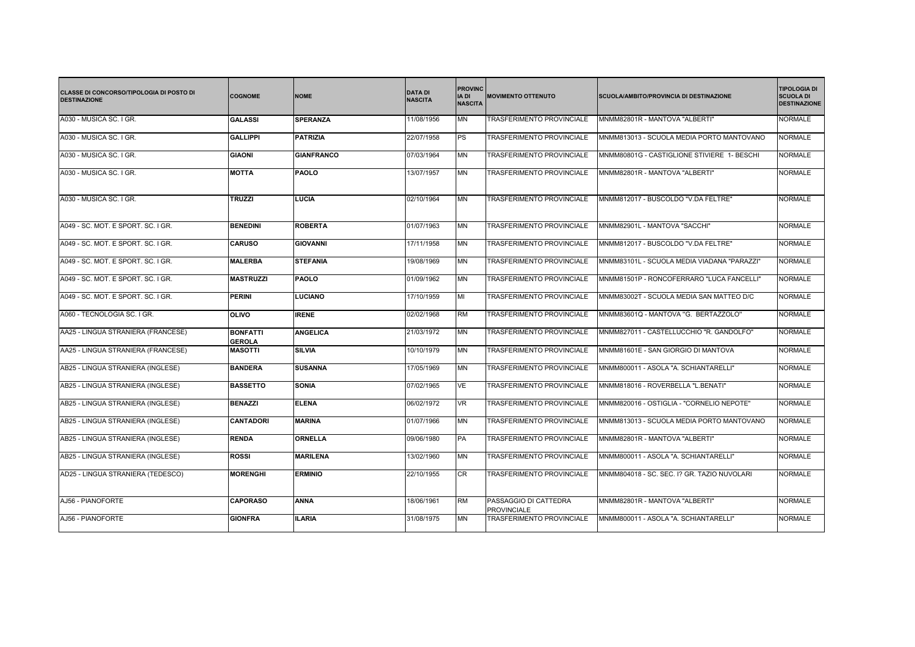| <b>CLASSE DI CONCORSO/TIPOLOGIA DI POSTO DI</b><br><b>DESTINAZIONE</b> | <b>COGNOME</b>                   | <b>NOME</b>       | <b>DATA DI</b><br><b>NASCITA</b> | <b>PROVINC</b><br>IA DI<br><b>NASCITA</b> | <b>MOVIMENTO OTTENUTO</b>                   | SCUOLA/AMBITO/PROVINCIA DI DESTINAZIONE     | <b>TIPOLOGIA DI</b><br><b>SCUOLA DI</b><br><b>DESTINAZIONE</b> |
|------------------------------------------------------------------------|----------------------------------|-------------------|----------------------------------|-------------------------------------------|---------------------------------------------|---------------------------------------------|----------------------------------------------------------------|
| A030 - MUSICA SC. I GR.                                                | <b>GALASSI</b>                   | <b>SPERANZA</b>   | 11/08/1956                       | MΝ                                        | TRASFERIMENTO PROVINCIALE                   | MNMM82801R - MANTOVA "ALBERTI"              | <b>NORMALE</b>                                                 |
| A030 - MUSICA SC. I GR.                                                | <b>GALLIPPI</b>                  | <b>PATRIZIA</b>   | 22/07/1958                       | <b>PS</b>                                 | TRASFERIMENTO PROVINCIALE                   | MNMM813013 - SCUOLA MEDIA PORTO MANTOVANO   | <b>NORMALE</b>                                                 |
| A030 - MUSICA SC. I GR.                                                | <b>GIAONI</b>                    | <b>GIANFRANCO</b> | 07/03/1964                       | <b>MN</b>                                 | TRASFERIMENTO PROVINCIALE                   | MNMM80801G - CASTIGLIONE STIVIERE 1- BESCHI | <b>NORMALE</b>                                                 |
| A030 - MUSICA SC. I GR.                                                | <b>MOTTA</b>                     | <b>PAOLO</b>      | 13/07/1957                       | <b>MN</b>                                 | TRASFERIMENTO PROVINCIALE                   | MNMM82801R - MANTOVA "ALBERTI"              | <b>NORMALE</b>                                                 |
| A030 - MUSICA SC. I GR.                                                | <b>TRUZZI</b>                    | LUCIA             | 02/10/1964                       | MΝ                                        | TRASFERIMENTO PROVINCIALE                   | MNMM812017 - BUSCOLDO "V.DA FELTRE"         | <b>NORMALE</b>                                                 |
| A049 - SC. MOT. E SPORT. SC. I GR.                                     | <b>BENEDINI</b>                  | <b>ROBERTA</b>    | 01/07/1963                       | <b>MN</b>                                 | <b>TRASFERIMENTO PROVINCIALE</b>            | MNMM82901L - MANTOVA "SACCHI"               | <b>NORMALE</b>                                                 |
| A049 - SC. MOT. E SPORT. SC. I GR.                                     | <b>CARUSO</b>                    | <b>GIOVANNI</b>   | 17/11/1958                       | <b>MN</b>                                 | TRASFERIMENTO PROVINCIALE                   | MNMM812017 - BUSCOLDO "V.DA FELTRE"         | <b>NORMALE</b>                                                 |
| A049 - SC. MOT. E SPORT. SC. I GR.                                     | <b>MALERBA</b>                   | <b>STEFANIA</b>   | 19/08/1969                       | MN                                        | TRASFERIMENTO PROVINCIALE                   | MNMM83101L - SCUOLA MEDIA VIADANA "PARAZZI" | <b>NORMALE</b>                                                 |
| A049 - SC. MOT. E SPORT. SC. I GR.                                     | <b>MASTRUZZI</b>                 | <b>PAOLO</b>      | 01/09/1962                       | <b>MN</b>                                 | <b>TRASFERIMENTO PROVINCIALE</b>            | MNMM81501P - RONCOFERRARO "LUCA FANCELLI"   | <b>NORMALE</b>                                                 |
| A049 - SC. MOT. E SPORT. SC. I GR.                                     | <b>PERINI</b>                    | <b>LUCIANO</b>    | 17/10/1959                       | MI                                        | TRASFERIMENTO PROVINCIALE                   | MNMM83002T - SCUOLA MEDIA SAN MATTEO D/C    | <b>NORMALE</b>                                                 |
| A060 - TECNOLOGIA SC. I GR.                                            | <b>OLIVO</b>                     | <b>IRENE</b>      | 02/02/1968                       | <b>RM</b>                                 | <b>TRASFERIMENTO PROVINCIALE</b>            | MNMM83601Q - MANTOVA "G. BERTAZZOLO"        | <b>NORMALE</b>                                                 |
| AA25 - LINGUA STRANIERA (FRANCESE)                                     | <b>BONFATTI</b><br><b>GEROLA</b> | <b>ANGELICA</b>   | 21/03/1972                       | ΜN                                        | <b>TRASFERIMENTO PROVINCIALE</b>            | MNMM827011 - CASTELLUCCHIO "R. GANDOLFO"    | <b>NORMALE</b>                                                 |
| AA25 - LINGUA STRANIERA (FRANCESE)                                     | <b>MASOTTI</b>                   | <b>SILVIA</b>     | 10/10/1979                       | MΝ                                        | TRASFERIMENTO PROVINCIALE                   | MNMM81601E - SAN GIORGIO DI MANTOVA         | <b>NORMALE</b>                                                 |
| AB25 - LINGUA STRANIERA (INGLESE)                                      | <b>BANDERA</b>                   | <b>SUSANNA</b>    | 17/05/1969                       | <b>MN</b>                                 | <b>TRASFERIMENTO PROVINCIALE</b>            | MNMM800011 - ASOLA "A. SCHIANTARELLI"       | <b>NORMALE</b>                                                 |
| AB25 - LINGUA STRANIERA (INGLESE)                                      | <b>BASSETTO</b>                  | <b>SONIA</b>      | 07/02/1965                       | VE                                        | <b>TRASFERIMENTO PROVINCIALE</b>            | MNMM818016 - ROVERBELLA "L.BENATI"          | <b>NORMALE</b>                                                 |
| AB25 - LINGUA STRANIERA (INGLESE)                                      | <b>BENAZZI</b>                   | <b>ELENA</b>      | 06/02/1972                       | VR.                                       | <b>TRASFERIMENTO PROVINCIALE</b>            | MNMM820016 - OSTIGLIA - "CORNELIO NEPOTE"   | <b>NORMALE</b>                                                 |
| AB25 - LINGUA STRANIERA (INGLESE)                                      | <b>CANTADORI</b>                 | <b>MARINA</b>     | 01/07/1966                       | <b>MN</b>                                 | TRASFERIMENTO PROVINCIALE                   | MNMM813013 - SCUOLA MEDIA PORTO MANTOVANO   | <b>NORMALE</b>                                                 |
| AB25 - LINGUA STRANIERA (INGLESE)                                      | <b>RENDA</b>                     | ORNELLA           | 09/06/1980                       | PA                                        | <b>TRASFERIMENTO PROVINCIALE</b>            | MNMM82801R - MANTOVA "ALBERTI"              | <b>NORMALE</b>                                                 |
| AB25 - LINGUA STRANIERA (INGLESE)                                      | <b>ROSSI</b>                     | <b>MARILENA</b>   | 13/02/1960                       | <b>MN</b>                                 | TRASFERIMENTO PROVINCIALE                   | MNMM800011 - ASOLA "A. SCHIANTARELLI"       | <b>NORMALE</b>                                                 |
| AD25 - LINGUA STRANIERA (TEDESCO)                                      | <b>MORENGHI</b>                  | <b>ERMINIO</b>    | 22/10/1955                       | CR                                        | TRASFERIMENTO PROVINCIALE                   | MNMM804018 - SC. SEC. I? GR. TAZIO NUVOLARI | <b>NORMALE</b>                                                 |
| AJ56 - PIANOFORTE                                                      | <b>CAPORASO</b>                  | <b>ANNA</b>       | 18/06/1961                       | <b>RM</b>                                 | PASSAGGIO DI CATTEDRA<br><b>PROVINCIALE</b> | MNMM82801R - MANTOVA "ALBERTI"              | <b>NORMALE</b>                                                 |
| AJ56 - PIANOFORTE                                                      | <b>GIONFRA</b>                   | <b>ILARIA</b>     | 31/08/1975                       | <b>MN</b>                                 | <b>TRASFERIMENTO PROVINCIALE</b>            | MNMM800011 - ASOLA "A. SCHIANTARELLI"       | <b>NORMALE</b>                                                 |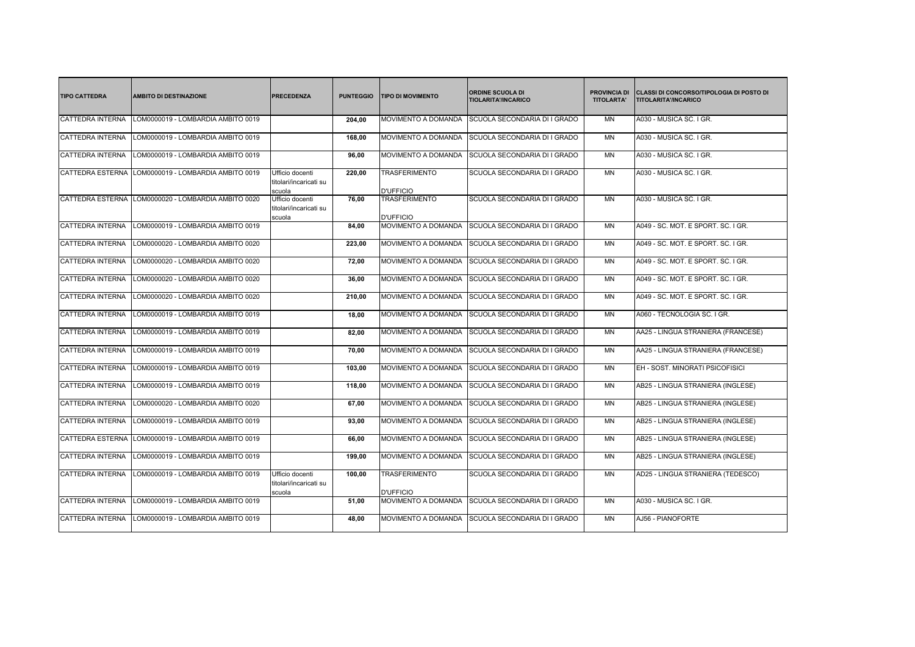| <b>TIPO CATTEDRA</b>    | <b>AMBITO DI DESTINAZIONE</b>      | PRECEDENZA                                          | <b>PUNTEGGIO</b> | <b>TIPO DI MOVIMENTO</b>                 | <b>ORDINE SCUOLA DI</b><br><b>TIOLARITA'/INCARICO</b> | <b>PROVINCIA DI</b><br><b>TITOLARTA'</b> | CLASSI DI CONCORSO/TIPOLOGIA DI POSTO DI<br><b>TITOLARITA'/INCARICO</b> |
|-------------------------|------------------------------------|-----------------------------------------------------|------------------|------------------------------------------|-------------------------------------------------------|------------------------------------------|-------------------------------------------------------------------------|
| <b>CATTEDRA INTERNA</b> | LOM0000019 - LOMBARDIA AMBITO 0019 |                                                     | 204,00           | MOVIMENTO A DOMANDA                      | SCUOLA SECONDARIA DI I GRADO                          | <b>MN</b>                                | A030 - MUSICA SC. I GR.                                                 |
| <b>CATTEDRA INTERNA</b> | LOM0000019 - LOMBARDIA AMBITO 0019 |                                                     | 168,00           | MOVIMENTO A DOMANDA                      | SCUOLA SECONDARIA DI I GRADO                          | <b>MN</b>                                | A030 - MUSICA SC. I GR.                                                 |
| <b>CATTEDRA INTERNA</b> | LOM0000019 - LOMBARDIA AMBITO 0019 |                                                     | 96,00            | MOVIMENTO A DOMANDA                      | SCUOLA SECONDARIA DI I GRADO                          | <b>MN</b>                                | A030 - MUSICA SC. I GR.                                                 |
| <b>CATTEDRA ESTERNA</b> | LOM0000019 - LOMBARDIA AMBITO 0019 | Ufficio docenti<br>titolari/incaricati su<br>scuola | 220,00           | TRASFERIMENTO<br><b>D'UFFICIO</b>        | SCUOLA SECONDARIA DI I GRADO                          | <b>MN</b>                                | A030 - MUSICA SC. I GR.                                                 |
| <b>CATTEDRA ESTERNA</b> | LOM0000020 - LOMBARDIA AMBITO 0020 | Ufficio docenti<br>titolari/incaricati su<br>scuola | 76.00            | <b>TRASFERIMENTO</b><br><b>D'UFFICIO</b> | SCUOLA SECONDARIA DI I GRADO                          | <b>MN</b>                                | A030 - MUSICA SC. I GR.                                                 |
| <b>CATTEDRA INTERNA</b> | LOM0000019 - LOMBARDIA AMBITO 0019 |                                                     | 84,00            | MOVIMENTO A DOMANDA                      | SCUOLA SECONDARIA DI I GRADO                          | <b>MN</b>                                | A049 - SC. MOT. E SPORT. SC. I GR.                                      |
| <b>CATTEDRA INTERNA</b> | LOM0000020 - LOMBARDIA AMBITO 0020 |                                                     | 223,00           | MOVIMENTO A DOMANDA                      | SCUOLA SECONDARIA DI I GRADO                          | <b>MN</b>                                | A049 - SC. MOT. E SPORT. SC. I GR.                                      |
| <b>CATTEDRA INTERNA</b> | LOM0000020 - LOMBARDIA AMBITO 0020 |                                                     | 72,00            | MOVIMENTO A DOMANDA                      | SCUOLA SECONDARIA DI I GRADO                          | <b>MN</b>                                | A049 - SC. MOT. E SPORT. SC. I GR.                                      |
| <b>CATTEDRA INTERNA</b> | LOM0000020 - LOMBARDIA AMBITO 0020 |                                                     | 36.00            | MOVIMENTO A DOMANDA                      | SCUOLA SECONDARIA DI I GRADO                          | <b>MN</b>                                | A049 - SC. MOT. E SPORT. SC. I GR.                                      |
| <b>CATTEDRA INTERNA</b> | OM0000020 - LOMBARDIA AMBITO 0020  |                                                     | 210,00           | <b>MOVIMENTO A DOMANDA</b>               | SCUOLA SECONDARIA DI I GRADO                          | <b>MN</b>                                | A049 - SC. MOT. E SPORT. SC. I GR.                                      |
| <b>CATTEDRA INTERNA</b> | LOM0000019 - LOMBARDIA AMBITO 0019 |                                                     | 18.00            | MOVIMENTO A DOMANDA                      | SCUOLA SECONDARIA DI I GRADO                          | <b>MN</b>                                | A060 - TECNOLOGIA SC. I GR.                                             |
| <b>CATTEDRA INTERNA</b> | LOM0000019 - LOMBARDIA AMBITO 0019 |                                                     | 82,00            | MOVIMENTO A DOMANDA                      | SCUOLA SECONDARIA DI I GRADO                          | <b>MN</b>                                | AA25 - LINGUA STRANIERA (FRANCESE)                                      |
| <b>CATTEDRA INTERNA</b> | LOM0000019 - LOMBARDIA AMBITO 0019 |                                                     | 70,00            | MOVIMENTO A DOMANDA                      | SCUOLA SECONDARIA DI I GRADO                          | <b>MN</b>                                | AA25 - LINGUA STRANIERA (FRANCESE)                                      |
| <b>CATTEDRA INTERNA</b> | LOM0000019 - LOMBARDIA AMBITO 0019 |                                                     | 103.00           | MOVIMENTO A DOMANDA                      | SCUOLA SECONDARIA DI I GRADO                          | <b>MN</b>                                | EH - SOST. MINORATI PSICOFISICI                                         |
| <b>CATTEDRA INTERNA</b> | LOM0000019 - LOMBARDIA AMBITO 0019 |                                                     | 118,00           | MOVIMENTO A DOMANDA                      | SCUOLA SECONDARIA DI I GRADO                          | <b>MN</b>                                | AB25 - LINGUA STRANIERA (INGLESE)                                       |
| <b>CATTEDRA INTERNA</b> | LOM0000020 - LOMBARDIA AMBITO 0020 |                                                     | 67,00            | MOVIMENTO A DOMANDA                      | SCUOLA SECONDARIA DI I GRADO                          | <b>MN</b>                                | AB25 - LINGUA STRANIERA (INGLESE)                                       |
| <b>CATTEDRA INTERNA</b> | LOM0000019 - LOMBARDIA AMBITO 0019 |                                                     | 93,00            | <b>MOVIMENTO A DOMANDA</b>               | SCUOLA SECONDARIA DI I GRADO                          | <b>MN</b>                                | AB25 - LINGUA STRANIERA (INGLESE)                                       |
| <b>CATTEDRA ESTERNA</b> | LOM0000019 - LOMBARDIA AMBITO 0019 |                                                     | 66,00            | <b>MOVIMENTO A DOMANDA</b>               | SCUOLA SECONDARIA DI I GRADO                          | <b>MN</b>                                | AB25 - LINGUA STRANIERA (INGLESE)                                       |
| <b>CATTEDRA INTERNA</b> | OM0000019 - LOMBARDIA AMBITO 0019  |                                                     | 199.00           | MOVIMENTO A DOMANDA                      | SCUOLA SECONDARIA DI I GRADO                          | <b>MN</b>                                | AB25 - LINGUA STRANIERA (INGLESE)                                       |
| <b>CATTEDRA INTERNA</b> | LOM0000019 - LOMBARDIA AMBITO 0019 | Ufficio docenti<br>titolari/incaricati su<br>scuola | 100,00           | <b>TRASFERIMENTO</b><br><b>D'UFFICIO</b> | SCUOLA SECONDARIA DI I GRADO                          | <b>MN</b>                                | AD25 - LINGUA STRANIERA (TEDESCO)                                       |
| <b>CATTEDRA INTERNA</b> | LOM0000019 - LOMBARDIA AMBITO 0019 |                                                     | 51,00            | MOVIMENTO A DOMANDA                      | SCUOLA SECONDARIA DI I GRADO                          | <b>MN</b>                                | A030 - MUSICA SC. I GR.                                                 |
| <b>CATTEDRA INTERNA</b> | LOM0000019 - LOMBARDIA AMBITO 0019 |                                                     | 48.00            | MOVIMENTO A DOMANDA                      | SCUOLA SECONDARIA DI I GRADO                          | <b>MN</b>                                | AJ56 - PIANOFORTE                                                       |